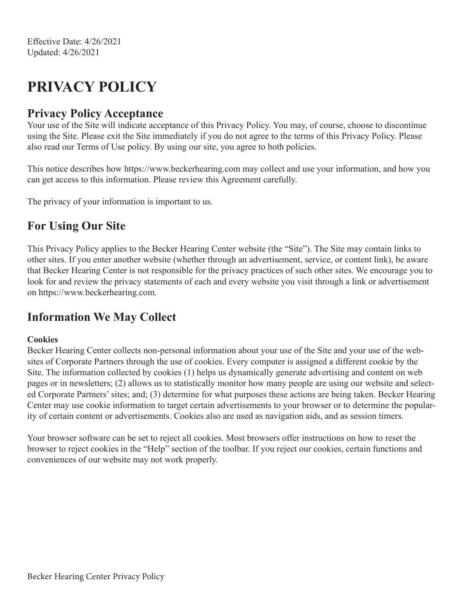# **PRIVACY POLICY**

#### **Privacy Policy Acceptance**

Your use of the Site will indicate acceptance of this Privacy Policy. You may, of course, choose to discontinue using the Site. Please exit the Site immediately if you do not agree to the terms of this Privacy Policy. Please also read our Terms of Use policy. By using our site, you agree to both policies.

This notice describes how https://www.beckerhearing.com may collect and use your information, and how you can get access to this information. Please review this Agreement carefully.

The privacy of your information is important to us.

### **For Using Our Site**

This Privacy Policy applies to the Becker Hearing Center website (the "Site"). The Site may contain links to other sites. If you enter another website (whether through an advertisement, service, or content link), be aware that Becker Hearing Center is not responsible for the privacy practices of such other sites. We encourage you to look for and review the privacy statements of each and every website you visit through a link or advertisement on https://www.beckerhearing.com.

#### **Information We May Collect**

#### **Cookies**

Becker Hearing Center collects non-personal information about your use of the Site and your use of the websites of Corporate Partners through the use of cookies. Every computer is assigned a different cookie by the Site. The information collected by cookies (1) helps us dynamically generate advertising and content on web pages or in newsletters; (2) allows us to statistically monitor how many people are using our website and selected Corporate Partners' sites; and; (3) determine for what purposes these actions are being taken. Becker Hearing Center may use cookie information to target certain advertisements to your browser or to determine the popularity of certain content or advertisements. Cookies also are used as navigation aids, and as session timers.

Your browser software can be set to reject all cookies. Most browsers offer instructions on how to reset the browser to reject cookies in the "Help" section of the toolbar. If you reject our cookies, certain functions and conveniences of our website may not work properly.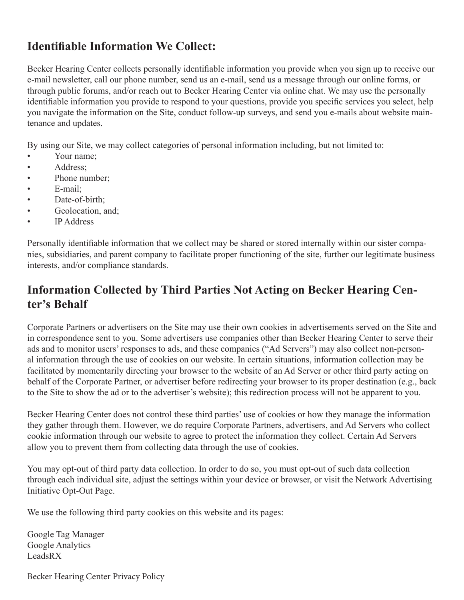### **Identifiable Information We Collect:**

Becker Hearing Center collects personally identifiable information you provide when you sign up to receive our e-mail newsletter, call our phone number, send us an e-mail, send us a message through our online forms, or through public forums, and/or reach out to Becker Hearing Center via online chat. We may use the personally identifiable information you provide to respond to your questions, provide you specific services you select, help you navigate the information on the Site, conduct follow-up surveys, and send you e-mails about website maintenance and updates.

By using our Site, we may collect categories of personal information including, but not limited to:

- Your name:
- Address;
- Phone number;
- E-mail;
- Date-of-birth:
- Geolocation, and;
- IP Address

Personally identifiable information that we collect may be shared or stored internally within our sister companies, subsidiaries, and parent company to facilitate proper functioning of the site, further our legitimate business interests, and/or compliance standards.

# **Information Collected by Third Parties Not Acting on Becker Hearing Center's Behalf**

Corporate Partners or advertisers on the Site may use their own cookies in advertisements served on the Site and in correspondence sent to you. Some advertisers use companies other than Becker Hearing Center to serve their ads and to monitor users' responses to ads, and these companies ("Ad Servers") may also collect non-personal information through the use of cookies on our website. In certain situations, information collection may be facilitated by momentarily directing your browser to the website of an Ad Server or other third party acting on behalf of the Corporate Partner, or advertiser before redirecting your browser to its proper destination (e.g., back to the Site to show the ad or to the advertiser's website); this redirection process will not be apparent to you.

Becker Hearing Center does not control these third parties' use of cookies or how they manage the information they gather through them. However, we do require Corporate Partners, advertisers, and Ad Servers who collect cookie information through our website to agree to protect the information they collect. Certain Ad Servers allow you to prevent them from collecting data through the use of cookies.

You may opt-out of third party data collection. In order to do so, you must opt-out of such data collection through each individual site, adjust the settings within your device or browser, or visit the Network Advertising Initiative Opt-Out Page.

We use the following third party cookies on this website and its pages:

Google Tag Manager Google Analytics LeadsRX

Becker Hearing Center Privacy Policy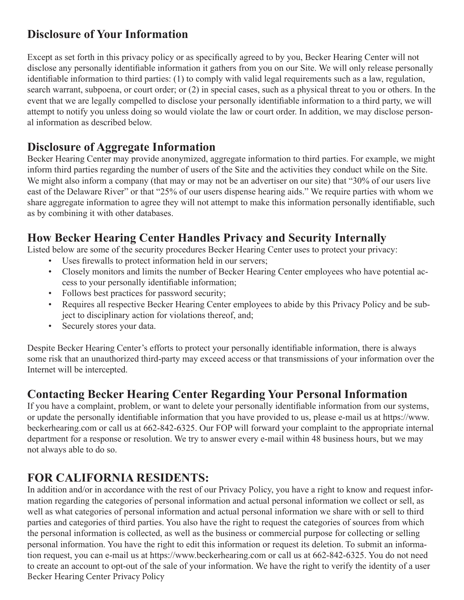### **Disclosure of Your Information**

Except as set forth in this privacy policy or as specifically agreed to by you, Becker Hearing Center will not disclose any personally identifiable information it gathers from you on our Site. We will only release personally identifiable information to third parties: (1) to comply with valid legal requirements such as a law, regulation, search warrant, subpoena, or court order; or (2) in special cases, such as a physical threat to you or others. In the event that we are legally compelled to disclose your personally identifiable information to a third party, we will attempt to notify you unless doing so would violate the law or court order. In addition, we may disclose personal information as described below.

#### **Disclosure of Aggregate Information**

Becker Hearing Center may provide anonymized, aggregate information to third parties. For example, we might inform third parties regarding the number of users of the Site and the activities they conduct while on the Site. We might also inform a company (that may or may not be an advertiser on our site) that "30% of our users live east of the Delaware River" or that "25% of our users dispense hearing aids." We require parties with whom we share aggregate information to agree they will not attempt to make this information personally identifiable, such as by combining it with other databases.

#### **How Becker Hearing Center Handles Privacy and Security Internally**

Listed below are some of the security procedures Becker Hearing Center uses to protect your privacy:

- Uses firewalls to protect information held in our servers;
- Closely monitors and limits the number of Becker Hearing Center employees who have potential access to your personally identifiable information;
- Follows best practices for password security;
- Requires all respective Becker Hearing Center employees to abide by this Privacy Policy and be subject to disciplinary action for violations thereof, and;
- Securely stores your data.

Despite Becker Hearing Center's efforts to protect your personally identifiable information, there is always some risk that an unauthorized third-party may exceed access or that transmissions of your information over the Internet will be intercepted.

#### **Contacting Becker Hearing Center Regarding Your Personal Information**

If you have a complaint, problem, or want to delete your personally identifiable information from our systems, or update the personally identifiable information that you have provided to us, please e-mail us at https://www. beckerhearing.com or call us at 662-842-6325. Our FOP will forward your complaint to the appropriate internal department for a response or resolution. We try to answer every e-mail within 48 business hours, but we may not always able to do so.

#### **FOR CALIFORNIA RESIDENTS:**

In addition and/or in accordance with the rest of our Privacy Policy, you have a right to know and request information regarding the categories of personal information and actual personal information we collect or sell, as well as what categories of personal information and actual personal information we share with or sell to third parties and categories of third parties. You also have the right to request the categories of sources from which the personal information is collected, as well as the business or commercial purpose for collecting or selling personal information. You have the right to edit this information or request its deletion. To submit an information request, you can e-mail us at https://www.beckerhearing.com or call us at 662-842-6325. You do not need to create an account to opt-out of the sale of your information. We have the right to verify the identity of a user Becker Hearing Center Privacy Policy